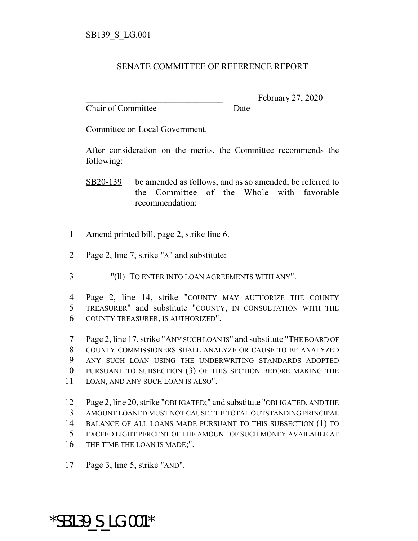## SENATE COMMITTEE OF REFERENCE REPORT

Chair of Committee Date

February 27, 2020

Committee on Local Government.

After consideration on the merits, the Committee recommends the following:

- SB20-139 be amended as follows, and as so amended, be referred to the Committee of the Whole with favorable recommendation:
- 1 Amend printed bill, page 2, strike line 6.
- 2 Page 2, line 7, strike "A" and substitute:
- 3 "(ll) TO ENTER INTO LOAN AGREEMENTS WITH ANY".

4 Page 2, line 14, strike "COUNTY MAY AUTHORIZE THE COUNTY 5 TREASURER" and substitute "COUNTY, IN CONSULTATION WITH THE 6 COUNTY TREASURER, IS AUTHORIZED".

 Page 2, line 17, strike "ANY SUCH LOAN IS" and substitute "THE BOARD OF COUNTY COMMISSIONERS SHALL ANALYZE OR CAUSE TO BE ANALYZED ANY SUCH LOAN USING THE UNDERWRITING STANDARDS ADOPTED PURSUANT TO SUBSECTION (3) OF THIS SECTION BEFORE MAKING THE LOAN, AND ANY SUCH LOAN IS ALSO".

 Page 2, line 20, strike "OBLIGATED;" and substitute "OBLIGATED, AND THE AMOUNT LOANED MUST NOT CAUSE THE TOTAL OUTSTANDING PRINCIPAL BALANCE OF ALL LOANS MADE PURSUANT TO THIS SUBSECTION (1) TO EXCEED EIGHT PERCENT OF THE AMOUNT OF SUCH MONEY AVAILABLE AT 16 THE TIME THE LOAN IS MADE;".

17 Page 3, line 5, strike "AND".

\*SB139\_S\_LG.001\*